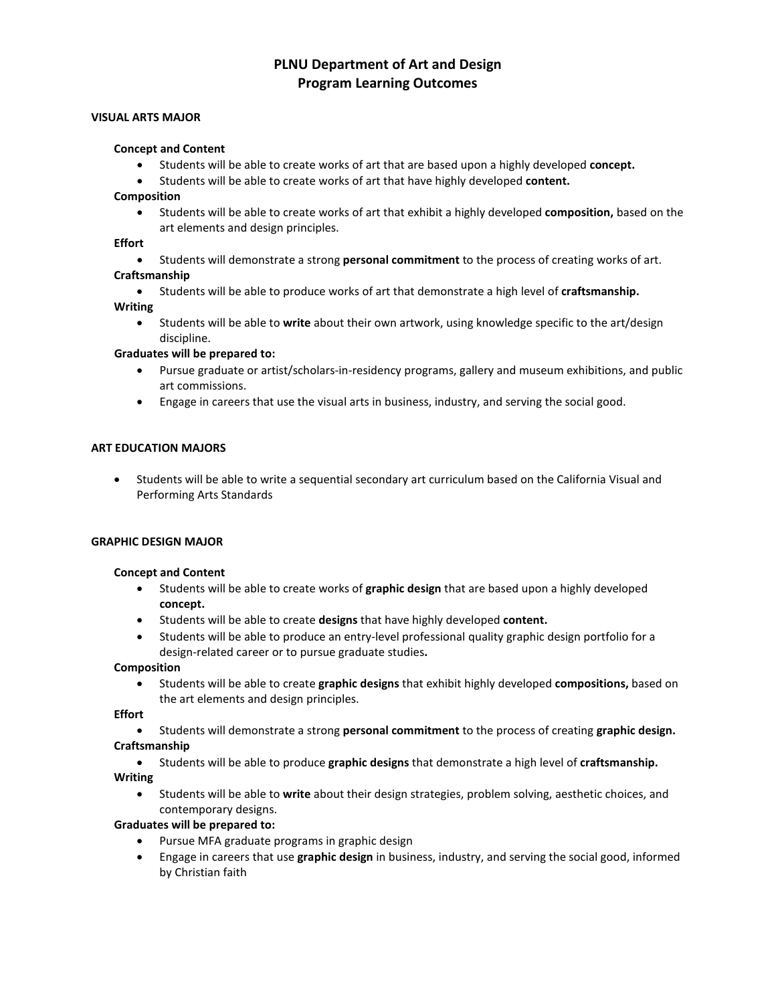# **PLNU Department of Art and Design Program Learning Outcomes**

### **VISUAL ARTS MAJOR**

#### **Concept and Content**

- Students will be able to create works of art that are based upon a highly developed **concept.**
- Students will be able to create works of art that have highly developed **content.**

# **Composition**

• Students will be able to create works of art that exhibit a highly developed **composition,** based on the art elements and design principles.

# **Effort**

• Students will demonstrate a strong **personal commitment** to the process of creating works of art. **Craftsmanship**

# • Students will be able to produce works of art that demonstrate a high level of **craftsmanship.**

**Writing**

• Students will be able to **write** about their own artwork, using knowledge specific to the art/design discipline.

# **Graduates will be prepared to:**

- Pursue graduate or artist/scholars-in-residency programs, gallery and museum exhibitions, and public art commissions.
- Engage in careers that use the visual arts in business, industry, and serving the social good.

### **ART EDUCATION MAJORS**

• Students will be able to write a sequential secondary art curriculum based on the California Visual and Performing Arts Standards

#### **GRAPHIC DESIGN MAJOR**

#### **Concept and Content**

- Students will be able to create works of **graphic design** that are based upon a highly developed **concept.**
- Students will be able to create **designs** that have highly developed **content.**
- Students will be able to produce an entry-level professional quality graphic design portfolio for a design-related career or to pursue graduate studies**.**

#### **Composition**

• Students will be able to create **graphic designs** that exhibit highly developed **compositions,** based on the art elements and design principles.

#### **Effort**

- Students will demonstrate a strong **personal commitment** to the process of creating **graphic design. Craftsmanship**
- Students will be able to produce **graphic designs** that demonstrate a high level of **craftsmanship. Writing**
	- Students will be able to **write** about their design strategies, problem solving, aesthetic choices, and contemporary designs.

# **Graduates will be prepared to:**

- Pursue MFA graduate programs in graphic design
- Engage in careers that use **graphic design** in business, industry, and serving the social good, informed by Christian faith